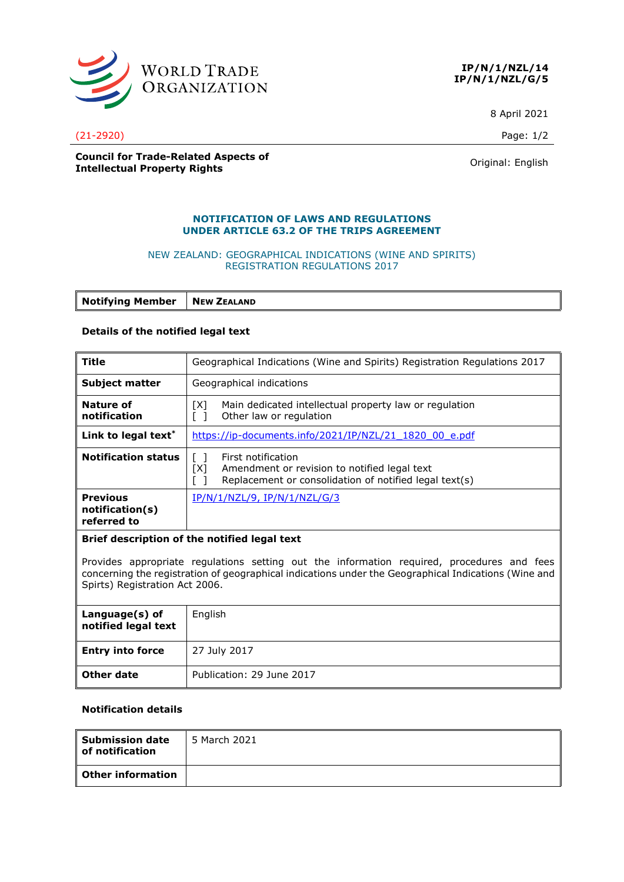

**IP/N/1/NZL/14 IP/N/1/NZL/G/5**

8 April 2021

#### **Council for Trade-Related Aspects of COUNCIL TOP TRACE-RELATED ASPECTS OF A COUNTER SERVICE CONTROL**<br> **Intellectual Property Rights** Counter of American Counter of American Counter of American Counter of American Counter of American Counter of American Count

### **NOTIFICATION OF LAWS AND REGULATIONS UNDER ARTICLE 63.2 OF THE TRIPS AGREEMENT**

#### NEW ZEALAND: GEOGRAPHICAL INDICATIONS (WINE AND SPIRITS) REGISTRATION REGULATIONS 2017

**Notifying Member** | **NEW ZEALAND** 

### **Details of the notified legal text**

| <b>Title</b>                                                                                                                                                                                    | Geographical Indications (Wine and Spirits) Registration Regulations 2017                                                           |  |
|-------------------------------------------------------------------------------------------------------------------------------------------------------------------------------------------------|-------------------------------------------------------------------------------------------------------------------------------------|--|
| <b>Subject matter</b>                                                                                                                                                                           | Geographical indications                                                                                                            |  |
| Nature of<br>notification                                                                                                                                                                       | Main dedicated intellectual property law or regulation<br>[X]<br>Other law or regulation                                            |  |
| Link to legal text <sup>*</sup>                                                                                                                                                                 | https://ip-documents.info/2021/IP/NZL/21 1820 00 e.pdf                                                                              |  |
| <b>Notification status</b>                                                                                                                                                                      | First notification<br>[X]<br>Amendment or revision to notified legal text<br>Replacement or consolidation of notified legal text(s) |  |
| <b>Previous</b><br>notification(s)<br>referred to                                                                                                                                               | IP/N/1/NZL/9, IP/N/1/NZL/G/3                                                                                                        |  |
| Brief description of the notified legal text                                                                                                                                                    |                                                                                                                                     |  |
| Provides appropriate regulations setting out the information required, procedures and fees<br>aspecuning the residuation of cooperation indications under the Cooperabion Indications (Wine and |                                                                                                                                     |  |

concerning the registration of geographical indications under the Geographical Indications (Wine and Spirts) Registration Act 2006.

| Language(s) of<br>notified legal text | English                   |
|---------------------------------------|---------------------------|
| <b>Entry into force</b>               | 27 July 2017              |
| Other date                            | Publication: 29 June 2017 |

## **Notification details**

| <b>Submission date</b><br>of notification | 5 March 2021 |
|-------------------------------------------|--------------|
| l Other information                       |              |

(21-2920) Page: 1/2